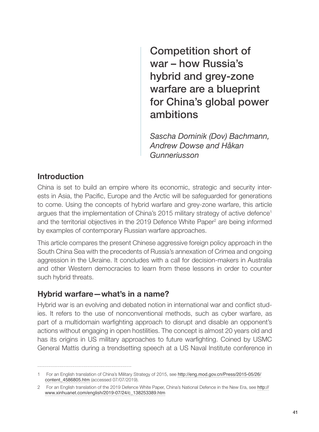Competition short of war – how Russia's hybrid and grey-zone warfare are a blueprint for China's global power ambitions

*Sascha Dominik (Dov) Bachmann, Andrew Dowse and Håkan Gunneriusson*

#### Introduction

China is set to build an empire where its economic, strategic and security interests in Asia, the Pacific, Europe and the Arctic will be safeguarded for generations to come. Using the concepts of hybrid warfare and grey-zone warfare, this article argues that the implementation of China's 2015 military strategy of active defence<sup>1</sup> and the territorial objectives in the 2019 Defence White Paper<sup>2</sup> are being informed by examples of contemporary Russian warfare approaches.

This article compares the present Chinese aggressive foreign policy approach in the South China Sea with the precedents of Russia's annexation of Crimea and ongoing aggression in the Ukraine. It concludes with a call for decision-makers in Australia and other Western democracies to learn from these lessons in order to counter such hybrid threats.

## Hybrid warfare—what's in a name?

Hybrid war is an evolving and debated notion in international war and conflict studies. It refers to the use of nonconventional methods, such as cyber warfare, as part of a multidomain warfighting approach to disrupt and disable an opponent's actions without engaging in open hostilities. The concept is almost 20 years old and has its origins in US military approaches to future warfighting. Coined by USMC General Mattis during a trendsetting speech at a US Naval Institute conference in

<sup>1</sup> For an English translation of China's Military Strategy of 2015, see http://eng.mod.gov.cn/Press/2015-05/26/ content\_4586805.htm (accessed 07/07/2019).

<sup>2</sup> For an English translation of the 2019 Defence White Paper, China's National Defence in the New Era, see http:// www.xinhuanet.com/english/2019-07/24/c\_138253389.htm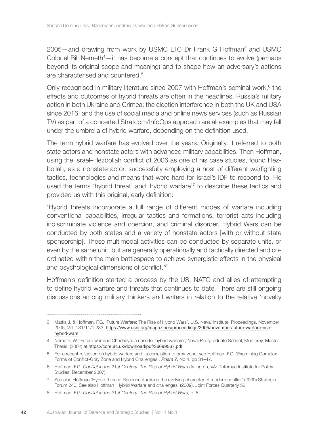2005—and drawing from work by USMC LTC Dr Frank G Hoffman<sup>3</sup> and USMC Colonel Bill Nemeth<sup>4</sup>- it has become a concept that continues to evolve (perhaps beyond its original scope and meaning) and to shape how an adversary's actions are characterised and countered.5

Only recognised in military literature since 2007 with Hoffman's seminal work, $6$  the effects and outcomes of hybrid threats are often in the headlines. Russia's military action in both Ukraine and Crimea; the election interference in both the UK and USA since 2016; and the use of social media and online news services (such as Russian TV) as part of a concerted Stratcom/InfoOps approach are all examples that may fall under the umbrella of hybrid warfare, depending on the definition used.

The term hybrid warfare has evolved over the years. Originally, it referred to both state actors and nonstate actors with advanced military capabilities. Then Hoffman, using the Israel–Hezbollah conflict of 2006 as one of his case studies, found Hezbollah, as a nonstate actor, successfully employing a host of different warfighting tactics, technologies and means that were hard for Israel's IDF to respond to. He used the terms 'hybrid threat' and 'hybrid warfare'7 to describe these tactics and provided us with this original, early definition:

'Hybrid threats incorporate a full range of different modes of warfare including conventional capabilities, irregular tactics and formations, terrorist acts including indiscriminate violence and coercion, and criminal disorder. Hybrid Wars can be conducted by both states and a variety of nonstate actors [with or without state sponsorship]. These multimodal activities can be conducted by separate units, or even by the same unit, but are generally operationally and tactically directed and coordinated within the main battlespace to achieve synergistic effects in the physical and psychological dimensions of conflict.'8

Hoffman's definition started a process by the US, NATO and allies of attempting to define hybrid warfare and threats that continues to date. There are still ongoing discussions among military thinkers and writers in relation to the relative 'novelty

42

<sup>3</sup> Mattis J. & Hoffman, F.G. 'Future Warfare: The Rise of Hybrid Wars', U.S. Naval Institute, Proceedings, November 2005, Vol. 131/11/1,233. https://www.usni.org/magazines/proceedings/2005/november/future-warfare-risehybrid-wars

<sup>4</sup> Nemeth, W. 'Future war and Chechnya: a case for hybrid warfare', Naval Postgraduate School, Monterey, Master Thesis, (2002) at https://core.ac.uk/download/pdf/36699567.pdf

<sup>5</sup> For a recent reflection on hybrid warfare and its correlation to grey-zone, see Hoffman, F.G. 'Examining Complex Forms of Conflict-Gray Zone and Hybrid Challenges', *Prism 7*, No 4, pp 31–47.

<sup>6</sup> Hoffman, F.G. *Conflict in the 21st Century: The Rise of Hybrid Wars* (Arlington, VA: Potomac Institute for Policy Studies, December 2007).

<sup>7</sup> See also Hoffman 'Hybrid threats: Reconceptualising the evolving character of modern conflict' (2009) Strategic Forum 240. See also Hoffman 'Hybrid Warfare and challenges' (2009), Joint Forces Quarterly 52.

<sup>8</sup> Hoffman, F.G. *Conflict in the 21st Century: The Rise of Hybrid Wars*, p. 8.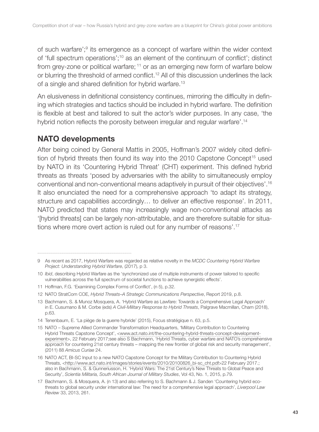of such warfare';<sup>9</sup> its emergence as a concept of warfare within the wider context of 'full spectrum operations';10 as an element of the continuum of conflict'; distinct from grey-zone or political warfare; 11 or as an emerging new form of warfare below or blurring the threshold of armed conflict.12 All of this discussion underlines the lack of a single and shared definition for hybrid warfare.<sup>13</sup>

An elusiveness in definitional consistency continues, mirroring the difficulty in defining which strategies and tactics should be included in hybrid warfare. The definition is flexible at best and tailored to suit the actor's wider purposes. In any case, 'the hybrid notion reflects the porosity between irregular and regular warfare'.<sup>14</sup>

# NATO developments

After being coined by General Mattis in 2005, Hoffman's 2007 widely cited definition of hybrid threats then found its way into the 2010 Capstone Concept<sup>15</sup> used by NATO in its 'Countering Hybrid Threat' (CHT) experiment. This defined hybrid threats as threats 'posed by adversaries with the ability to simultaneously employ conventional and non-conventional means adaptively in pursuit of their objectives'.16 It also enunciated the need for a comprehensive approach 'to adapt its strategy, structure and capabilities accordingly… to deliver an effective response'. In 2011, NATO predicted that states may increasingly wage non-conventional attacks as '[hybrid threats] can be largely non-attributable, and are therefore suitable for situations where more overt action is ruled out for any number of reasons'.17

11 Hoffman, F.G. 'Examining Complex Forms of Conflict', (n 5), p.32.

<sup>9</sup> As recent as 2017, Hybrid Warfare was regarded as relative novelty in the *MCDC Countering Hybrid Warfare Project: Understanding Hybrid Warfare*, (2017), p 3.

<sup>10</sup> *Ibid*, describing Hybrid Warfare as the 'synchronized use of multiple instruments of power tailored to specific vulnerabilities across the full spectrum of societal functions to achieve synergistic effects'.

<sup>12</sup> NATO StratCom COE, *Hybrid Threats–A Strategic Communications Perspective*, Report 2019, p.8.

<sup>13</sup> Bachmann, S. & Munoz Mosquera, A. 'Hybrid Warfare as Lawfare: Towards a Comprehensive Legal Approach' in E. Cusumano & M. Corbe (eds) *A Civil-Military Response to Hybrid Threats*, Palgrave Macmillan, Cham (2018), p.63.

<sup>14</sup> Tenenbaum, E. 'La piège de la guerre hybride' (2015), Focus stratégique n. 63, p.5.

<sup>15</sup> NATO – Supreme Allied Commander Transformation Headquarters, 'Military Contribution to Countering Hybrid Threats Capstone Concept', <www.act.nato.int/the-countering-hybrid-threats-concept-developmentexperiment>, 22 February 2017;see also S Bachmann, 'Hybrid Threats, cyber warfare and NATO's comprehensive approach for countering 21st century threats – mapping the new frontier of global risk and security management', (2011) 88 *Amicus Curiae* 24.

<sup>16</sup> NATO ACT, BI-SC Input to a new NATO Capstone Concept for the Military Contribution to Countering Hybrid Threats, <http://www.act.nato.int/images/stories/events/2010/20100826\_bi-sc\_cht.pdf>22 February 2017.; also in Bachmann, S. & Gunneriusson, H. 'Hybrid Wars: The 21st Century's New Threats to Global Peace and Security', *Scientia Militaria, South African Journal of Military Studies*, Vol 43, No. 1, 2015, p.79.

<sup>17</sup> Bachmann, S. & Mosquera, A. (n 13) and also referring to S. Bachmann & J. Sanden 'Countering hybrid ecothreats to global security under international law: The need for a comprehensive legal approach', *Liverpool Law Review* 33, 2013, 261.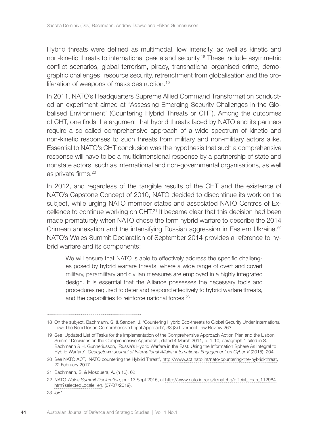Hybrid threats were defined as multimodal, low intensity, as well as kinetic and non-kinetic threats to international peace and security.18 These include asymmetric conflict scenarios, global terrorism, piracy, transnational organised crime, demographic challenges, resource security, retrenchment from globalisation and the proliferation of weapons of mass destruction.<sup>19</sup>

In 2011, NATO's Headquarters Supreme Allied Command Transformation conducted an experiment aimed at 'Assessing Emerging Security Challenges in the Globalised Environment' (Countering Hybrid Threats or CHT). Among the outcomes of CHT, one finds the argument that hybrid threats faced by NATO and its partners require a so-called comprehensive approach of a wide spectrum of kinetic and non-kinetic responses to such threats from military and non-military actors alike. Essential to NATO's CHT conclusion was the hypothesis that such a comprehensive response will have to be a multidimensional response by a partnership of state and nonstate actors, such as international and non-governmental organisations, as well as private firms.<sup>20</sup>

In 2012, and regardless of the tangible results of the CHT and the existence of NATO's Capstone Concept of 2010, NATO decided to discontinue its work on the subject, while urging NATO member states and associated NATO Centres of Excellence to continue working on CHT.21 It became clear that this decision had been made prematurely when NATO chose the term hybrid warfare to describe the 2014 Crimean annexation and the intensifying Russian aggression in Eastern Ukraine.<sup>22</sup> NATO's Wales Summit Declaration of September 2014 provides a reference to hybrid warfare and its components:

We will ensure that NATO is able to effectively address the specific challenges posed by hybrid warfare threats, where a wide range of overt and covert military, paramilitary and civilian measures are employed in a highly integrated design. It is essential that the Alliance possesses the necessary tools and procedures required to deter and respond effectively to hybrid warfare threats, and the capabilities to reinforce national forces.<sup>23</sup>

<sup>18</sup> On the subject, Bachmann, S. & Sanden, J. 'Countering Hybrid Eco-threats to Global Security Under International Law: The Need for an Comprehensive Legal Approach', 33 (3) Liverpool Law Review 263.

<sup>19</sup> See 'Updated List of Tasks for the Implementation of the Comprehensive Approach Action Plan and the Lisbon Summit Decisions on the Comprehensive Approach', dated 4 March 2011, p. 1-10, paragraph 1 cited in S. Bachmann & H. Gunneriusson, 'Russia's Hybrid Warfare in the East: Using the Information Sphere As Integral to Hybrid Warfare', *Georgetown Journal of International Affairs: International Engagement on Cyber V* (2015): 204.

<sup>20</sup> See NATO ACT, 'NATO countering the Hybrid Threat', http://www.act.nato.int/nato-countering-the-hybrid-threat, 22 February 2017.

<sup>21</sup> Bachmann, S. & Mosquera, A. (n 13), 62

<sup>22</sup> NATO *Wales Summit Declaration*, par 13 Sept 2015, at http://www.nato.int/cps/fr/natohq/official\_texts\_112964. htm?selectedLocale=en. (07/07/2019).

<sup>23</sup> *Ibid*.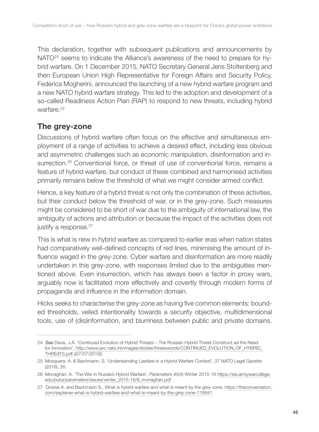This declaration, together with subsequent publications and announcements by NATO<sup>24</sup> seems to indicate the Alliance's awareness of the need to prepare for hybrid warfare. On 1 December 2015, NATO Secretary General Jens Stoltenberg and then European Union High Representative for Foreign Affairs and Security Policy, Federica Mogherini, announced the launching of a new hybrid warfare program and a new NATO hybrid warfare strategy. This led to the adoption and development of a so-called Readiness Action Plan (RAP) to respond to new threats, including hybrid warfare.<sup>25</sup>

## The grey-zone

Discussions of hybrid warfare often focus on the effective and simultaneous employment of a range of activities to achieve a desired effect, including less obvious and asymmetric challenges such as economic manipulation, disinformation and insurrection.<sup>26</sup> Conventional force, or threat of use of conventional force, remains a feature of hybrid warfare, but conduct of these combined and harmonised activities primarily remains below the threshold of what we might consider armed conflict.

Hence, a key feature of a hybrid threat is not only the combination of these activities, but their conduct below the threshold of war, or in the grey-zone. Such measures might be considered to be short of war due to the ambiguity of international law, the ambiguity of actions and attribution or because the impact of the activities does not justify a response.<sup>27</sup>

This is what is new in hybrid warfare as compared to earlier eras when nation states had comparatively well-defined concepts of red lines, minimising the amount of influence waged in the grey-zone. Cyber warfare and disinformation are more readily undertaken in this grey-zone, with responses limited due to the ambiguities mentioned above. Even insurrection, which has always been a factor in proxy wars, arguably now is facilitated more effectively and covertly through modern forms of propaganda and influence in the information domain.

Hicks seeks to characterise the grey-zone as having five common elements: bounded thresholds, veiled intentionality towards a security objective, multidimensional tools, use of (dis)information, and blurriness between public and private domains.

<sup>24</sup> *See* Davis, J.A. 'Continued Evolution of Hybrid Threats – The Russian Hybrid Threat Construct ad the Need for Innovation', http://www.jwc.nato.int/images/stories/threeswords/CONTINUED\_EVOLUTION\_OF\_HYBRID\_ THREATS.pdf ((07/07/2019))

<sup>25</sup> Mosquera, A. & Bachmann, S. 'Understanding Lawfare in a Hybrid Warfare Context', 37 NATO Legal Gazette (2016), 26.

<sup>26</sup> Monaghan, A. 'The War in Russia's Hybrid Warfare', *Parameters 45*(4) Winter 2015-16 https://ssi.armywarcollege. edu/pubs/parameters/issues/winter\_2015-16/9\_monaghan.pdf

<sup>27</sup> Dowse A. and Bachmann S., What is hybrid warfare and what is meant by the grey-zone, https://theconversation. com/explainer-what-is-hybrid-warfare-and-what-is-meant-by-the-grey-zone-118841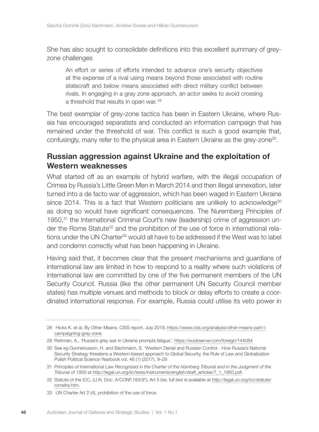She has also sought to consolidate definitions into this excellent summary of greyzone challenges

An effort or series of efforts intended to advance one's security objectives at the expense of a rival using means beyond those associated with routine statecraft and below means associated with direct military conflict between rivals. In engaging in a gray zone approach, an actor seeks to avoid crossing a threshold that results in open war. <sup>28</sup>

The best exemplar of grey-zone tactics has been in Eastern Ukraine, where Russia has encouraged separatists and conducted an information campaign that has remained under the threshold of war. This conflict is such a good example that, confusingly, many refer to the physical area in Eastern Ukraine as the grey-zone29.

## Russian aggression against Ukraine and the exploitation of Western weaknesses

What started off as an example of hybrid warfare, with the illegal occupation of Crimea by Russia's Little Green Men in March 2014 and then illegal annexation, later turned into a de facto war of aggression, which has been waged in Eastern Ukraine since 2014. This is a fact that Western politicians are unlikely to acknowledge<sup>30</sup> as doing so would have significant consequences. The Nuremberg Principles of 1950,31 the International Criminal Court's new (leadership) crime of aggression under the Rome Statute<sup>32</sup> and the prohibition of the use of force in international relations under the UN Charter<sup>33</sup> would all have to be addressed if the West was to label and condemn correctly what has been happening in Ukraine.

Having said that, it becomes clear that the present mechanisms and guardians of international law are limited in how to respond to a reality where such violations of international law are committed by one of the five permanent members of the UN Security Council. Russia (like the other permanent UN Security Council member states) has multiple venues and methods to block or delay efforts to create a coordinated international response. For example, Russia could utilise its veto power in

<sup>28</sup> Hicks K. et al, By Other Means, CSIS report, July 2019, https://www.csis.org/analysis/other-means-part-icampaigning-gray-zone

<sup>29</sup> Rettman, A., 'Russia's grey war in Ukraine prompts fatigue', https://euobserver.com/foreign/144084

<sup>30</sup> See eg Gunneriusson, H. and Bachmann, S. 'Western Denial and Russian Control - How Russia's National Security Strategy threatens a Western-based approach to Global Security, the Rule of Law and Globalization Polish Political Science Yearbook vol. 46 (1) (2017), 9–29

<sup>31</sup> *Principles of International Law Recognized in the Charter of the Nürnberg Tribunal and in the Judgment of the Tribunal of 1950* at http://legal.un.org/ilc/texts/instruments/english/draft\_articles/7\_1\_1950.pdf.

<sup>32</sup> Statute of the ICC, (U.N. Doc. A/CONF.183/9\*), Art 5 bis; full text is available at http://legal.un.org/icc/statute/ romefra.htm.

<sup>33</sup> UN Charter Art 2 (4), prohibition of the use of force.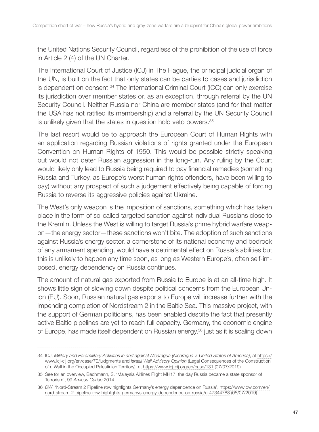the United Nations Security Council, regardless of the prohibition of the use of force in Article 2 (4) of the UN Charter.

The International Court of Justice (ICJ) in The Hague, the principal judicial organ of the UN, is built on the fact that only states can be parties to cases and jurisdiction is dependent on consent.34 The International Criminal Court (ICC) can only exercise its jurisdiction over member states or, as an exception, through referral by the UN Security Council. Neither Russia nor China are member states (and for that matter the USA has not ratified its membership) and a referral by the UN Security Council is unlikely given that the states in question hold veto powers.<sup>35</sup>

The last resort would be to approach the European Court of Human Rights with an application regarding Russian violations of rights granted under the European Convention on Human Rights of 1950. This would be possible strictly speaking but would not deter Russian aggression in the long-run. Any ruling by the Court would likely only lead to Russia being required to pay financial remedies (something Russia and Turkey, as Europe's worst human rights offenders, have been willing to pay) without any prospect of such a judgement effectively being capable of forcing Russia to reverse its aggressive policies against Ukraine.

The West's only weapon is the imposition of sanctions, something which has taken place in the form of so-called targeted sanction against individual Russians close to the Kremlin. Unless the West is willing to target Russia's prime hybrid warfare weapon—the energy sector—these sanctions won't bite. The adoption of such sanctions against Russia's energy sector, a cornerstone of its national economy and bedrock of any armament spending, would have a detrimental effect on Russia's abilities but this is unlikely to happen any time soon, as long as Western Europe's, often self-imposed, energy dependency on Russia continues.

The amount of natural gas exported from Russia to Europe is at an all-time high. It shows little sign of slowing down despite political concerns from the European Union (EU). Soon, Russian natural gas exports to Europe will increase further with the impending completion of Nordstream 2 in the Baltic Sea. This massive project, with the support of German politicians, has been enabled despite the fact that presently active Baltic pipelines are yet to reach full capacity. Germany, the economic engine of Europe, has made itself dependent on Russian energy,<sup>36</sup> just as it is scaling down

<sup>34</sup> ICJ, *Military and Paramilitary Activities in and against Nicaragua (Nicaragua v. United States of America)*, at https:// www.icj-cij.org/en/case/70/judgments and *Israeli Wall Advisory Opinion* (Legal Consequences of the Construction of a Wall in the Occupied Palestinian Territory), at https://www.icj-cij.org/en/case/131 (07/07/2019).

<sup>35</sup> See for an overview, Bachmann, S. 'Malaysia Airlines Flight MH17: the day Russia became a state sponsor of Terrorism', 99 *Amicus Curiae* 2014

<sup>36</sup> *DW*, 'Nord-Stream 2 Pipeline row highlights Germany's energy dependence on Russia', https://www.dw.com/en/ nord-stream-2-pipeline-row-highlights-germanys-energy-dependence-on-russia/a-47344788 (05/07/2019).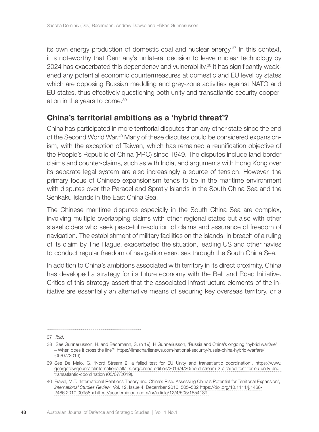its own energy production of domestic coal and nuclear energy.37 In this context, it is noteworthy that Germany's unilateral decision to leave nuclear technology by 2024 has exacerbated this dependency and vulnerability.38 It has significantly weakened any potential economic countermeasures at domestic and EU level by states which are opposing Russian meddling and grey-zone activities against NATO and EU states, thus effectively questioning both unity and transatlantic security cooperation in the years to come.39

#### China's territorial ambitions as a 'hybrid threat'?

China has participated in more territorial disputes than any other state since the end of the Second World War.40 Many of these disputes could be considered expansionism, with the exception of Taiwan, which has remained a reunification objective of the People's Republic of China (PRC) since 1949. The disputes include land border claims and counter-claims, such as with India, and arguments with Hong Kong over its separate legal system are also increasingly a source of tension. However, the primary focus of Chinese expansionism tends to be in the maritime environment with disputes over the Paracel and Spratly Islands in the South China Sea and the Senkaku Islands in the East China Sea.

The Chinese maritime disputes especially in the South China Sea are complex, involving multiple overlapping claims with other regional states but also with other stakeholders who seek peaceful resolution of claims and assurance of freedom of navigation. The establishment of military facilities on the islands, in breach of a ruling of its claim by The Hague, exacerbated the situation, leading US and other navies to conduct regular freedom of navigation exercises through the South China Sea.

In addition to China's ambitions associated with territory in its direct proximity, China has developed a strategy for its future economy with the Belt and Road Initiative. Critics of this strategy assert that the associated infrastructure elements of the initiative are essentially an alternative means of securing key overseas territory, or a

<sup>37</sup> *Ibid*.

<sup>38</sup> See Gunneriusson, H. and Bachmann, S. (n 19), H Gunneriusson, 'Russia and China's ongoing "hybrid warfare" – When does it cross the line?' https://limacharlienews.com/national-security/russia-china-hybrid-warfare/ (05/07/2019).

<sup>39</sup> See De Maio, G. 'Nord Stream 2: a failed test for EU Unity and transatlantic coordination', https://www. georgetownjournalofinternationalaffairs.org/online-edition/2019/4/20/nord-stream-2-a-failed-test-for-eu-unity-andtransatlantic-coordination (05/07/2019).

<sup>40</sup> Fravel, M.T. 'International Relations Theory and China's Rise: Assessing China's Potential for Territorial Expansion', *International Studies Review*, Vol. 12, Issue 4, December 2010, 505–532 https://doi.org/10.1111/j.1468- 2486.2010.00958.x https://academic.oup.com/isr/article/12/4/505/1854189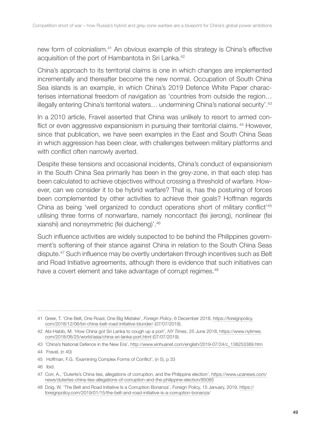new form of colonialism.41 An obvious example of this strategy is China's effective acquisition of the port of Hambantota in Sri Lanka.<sup>42</sup>

China's approach to its territorial claims is one in which changes are implemented incrementally and thereafter become the new normal. Occupation of South China Sea islands is an example, in which China's 2019 Defence White Paper characterises international freedom of navigation as 'countries from outside the region… illegally entering China's territorial waters… undermining China's national security'.43

In a 2010 article, Fravel asserted that China was unlikely to resort to armed conflict or even aggressive expansionism in pursuing their territorial claims.<sup>44</sup> However, since that publication, we have seen examples in the East and South China Seas in which aggression has been clear, with challenges between military platforms and with conflict often narrowly averted.

Despite these tensions and occasional incidents, China's conduct of expansionism in the South China Sea primarily has been in the grey-zone, in that each step has been calculated to achieve objectives without crossing a threshold of warfare. However, can we consider it to be hybrid warfare? That is, has the posturing of forces been complemented by other activities to achieve their goals? Hoffman regards China as being 'well organized to conduct operations short of military conflict'45 utilising three forms of nonwarfare, namely noncontact (fei jierong), nonlinear (fei xianshi) and nonsymmetric (fei duicheng)'.46

Such influence activities are widely suspected to be behind the Philippines government's softening of their stance against China in relation to the South China Seas dispute.47 Such influence may be overtly undertaken through incentives such as Belt and Road Initiative agreements, although there is evidence that such initiatives can have a covert element and take advantage of corrupt regimes.<sup>48</sup>

<sup>41</sup> Greer, T. 'One Belt, One Road, One Big Mistake', *Foreign Policy*, 6 December 2018, https://foreignpolicy. com/2018/12/06/bri-china-belt-road-initiative-blunder/ (07/07/2019).

<sup>42</sup> Abi-Habib, M. 'How China got Sri Lanka to cough up a port', *NY Times*, 25 June 2018, https://www.nytimes. com/2018/06/25/world/asia/china-sri-lanka-port.html (07/07/2019).

<sup>43</sup> 'China's National Defence in the New Era', http://www.xinhuanet.com/english/2019-07/24/c\_138253389.htm

<sup>44</sup> Fravel, (n 40)

<sup>45</sup> Hoffman, F.G. 'Examining Complex Forms of Conflict', (n 5), p 33

<sup>46</sup> Ibid.

<sup>47</sup> Corr, A., 'Duterte's China ties, allegations of corruption, and the Philippine election', https://www.ucanews.com/ news/dutertes-china-ties-allegations-of-corruption-and-the-philippine-election/85085

<sup>48</sup> Doig, W. 'The Belt and Road Initiative Is a Corruption Bonanza', Foreign Policy, 15 January, 2019, https:// foreignpolicy.com/2019/01/15/the-belt-and-road-initiative-is-a-corruption-bonanza/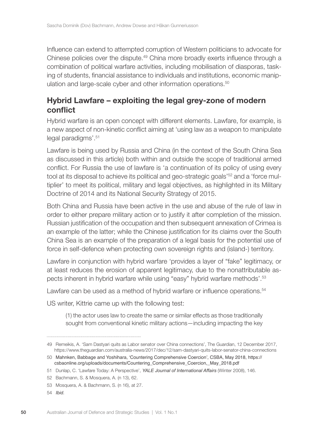Influence can extend to attempted corruption of Western politicians to advocate for Chinese policies over the dispute.49 China more broadly exerts influence through a combination of political warfare activities, including mobilisation of diasporas, tasking of students, financial assistance to individuals and institutions, economic manipulation and large-scale cyber and other information operations.<sup>50</sup>

# Hybrid Lawfare – exploiting the legal grey-zone of modern conflict

Hybrid warfare is an open concept with different elements. Lawfare, for example, is a new aspect of non-kinetic conflict aiming at 'using law as a weapon to manipulate legal paradigms'.<sup>51</sup>

Lawfare is being used by Russia and China (in the context of the South China Sea as discussed in this article) both within and outside the scope of traditional armed conflict. For Russia the use of lawfare is 'a continuation of its policy of using every tool at its disposal to achieve its political and geo-strategic goals'52 and a 'force multiplier' to meet its political, military and legal objectives, as highlighted in its Military Doctrine of 2014 and its National Security Strategy of 2015.

Both China and Russia have been active in the use and abuse of the rule of law in order to either prepare military action or to justify it after completion of the mission. Russian justification of the occupation and then subsequent annexation of Crimea is an example of the latter; while the Chinese justification for its claims over the South China Sea is an example of the preparation of a legal basis for the potential use of force in self-defence when protecting own sovereign rights and (island-) territory.

Lawfare in conjunction with hybrid warfare 'provides a layer of "fake" legitimacy, or at least reduces the erosion of apparent legitimacy, due to the nonattributable aspects inherent in hybrid warfare while using "easy" hybrid warfare methods'.53

Lawfare can be used as a method of hybrid warfare or influence operations.<sup>54</sup>

US writer, Kittrie came up with the following test:

(1) the actor uses law to create the same or similar effects as those traditionally sought from conventional kinetic military actions—including impacting the key

<sup>49</sup> Remeikis, A. 'Sam Dastyari quits as Labor senator over China connections', The Guardian, 12 December 2017, https://www.theguardian.com/australia-news/2017/dec/12/sam-dastyari-quits-labor-senator-china-connections

<sup>50</sup> Mahnken, Babbage and Yoshihara, 'Countering Comprehensive Coercion', CSBA, May 2018, https:// csbaonline.org/uploads/documents/Countering\_Comprehensive\_Coercion,\_May\_2018.pdf

<sup>51</sup> Dunlap, C. 'Lawfare Today: A Perspective', *YALE Journal of International Affairs* (Winter 2008), 146.

<sup>52</sup> Bachmann, S. & Mosquera, A. (n 13), 62.

<sup>53</sup> Mosquera, A. & Bachmann, S. (n 16), at 27.

<sup>54</sup> *Ibid.*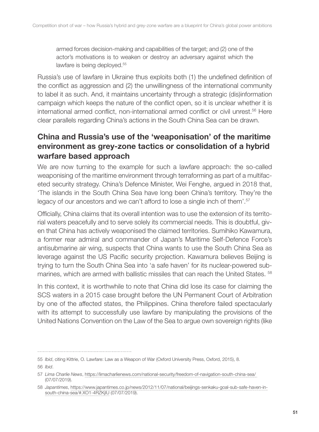armed forces decision-making and capabilities of the target; and (2) one of the actor's motivations is to weaken or destroy an adversary against which the lawfare is being deployed.<sup>55</sup>

Russia's use of lawfare in Ukraine thus exploits both (1) the undefined definition of the conflict as aggression and (2) the unwillingness of the international community to label it as such. And, it maintains uncertainty through a strategic (dis)information campaign which keeps the nature of the conflict open, so it is unclear whether it is international armed conflict, non-international armed conflict or civil unrest.56 Here clear parallels regarding China's actions in the South China Sea can be drawn.

# China and Russia's use of the 'weaponisation' of the maritime environment as grey-zone tactics or consolidation of a hybrid warfare based approach

We are now turning to the example for such a lawfare approach: the so-called weaponising of the maritime environment through terraforming as part of a multifaceted security strategy. China's Defence Minister, Wei Fenghe, argued in 2018 that, 'The islands in the South China Sea have long been China's territory. They're the legacy of our ancestors and we can't afford to lose a single inch of them'.<sup>57</sup>

Officially, China claims that its overall intention was to use the extension of its territorial waters peacefully and to serve solely its commercial needs. This is doubtful, given that China has actively weaponised the claimed territories. Sumihiko Kawamura, a former rear admiral and commander of Japan's Maritime Self-Defence Force's antisubmarine air wing, suspects that China wants to use the South China Sea as leverage against the US Pacific security projection. Kawamura believes Beijing is trying to turn the South China Sea into 'a safe haven' for its nuclear-powered submarines, which are armed with ballistic missiles that can reach the United States. <sup>58</sup>

In this context, it is worthwhile to note that China did lose its case for claiming the SCS waters in a 2015 case brought before the UN Permanent Court of Arbitration by one of the affected states, the Philippines. China therefore failed spectacularly with its attempt to successfully use lawfare by manipulating the provisions of the United Nations Convention on the Law of the Sea to argue own sovereign rights (like

<sup>55</sup> *Ibid*, citing Kittrie, O. Lawfare: Law as a Weapon of War (Oxford University Press, Oxford, 2015), 8. 56 *Ibid*.

<sup>57</sup> *Lima Charlie News*, https://limacharlienews.com/national-security/freedom-of-navigation-south-china-sea/ (07/07/2019).

<sup>58</sup> *Japantimes*, https://www.japantimes.co.jp/news/2012/11/07/national/beijings-senkaku-goal-sub-safe-haven-insouth-china-sea/#.XO1-4RZKjIU (07/07/2019).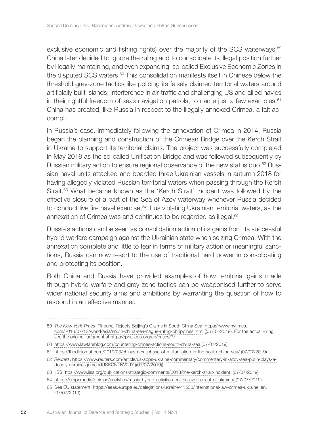exclusive economic and fishing rights) over the majority of the SCS waterways.59 China later decided to ignore the ruling and to consolidate its illegal position further by illegally maintaining, and even expanding, so-called Exclusive Economic Zones in the disputed SCS waters. $60$  This consolidation manifests itself in Chinese below the threshold grey-zone tactics like policing its falsely claimed territorial waters around artificially built islands, interference in air-traffic and challenging US and allied navies in their rightful freedom of seas navigation patrols, to name just a few examples.<sup>61</sup> China has created, like Russia in respect to the illegally annexed Crimea, a fait accompli.

In Russia's case, immediately following the annexation of Crimea in 2014, Russia began the planning and construction of the Crimean Bridge over the Kerch Strait in Ukraine to support its territorial claims. The project was successfully completed in May 2018 as the so-called Unification Bridge and was followed subsequently by Russian military action to ensure regional observance of the new status quo.<sup>62</sup> Russian naval units attacked and boarded three Ukrainian vessels in autumn 2018 for having allegedly violated Russian territorial waters when passing through the Kerch Strait.63 What became known as the 'Kerch Strait' incident was followed by the effective closure of a part of the Sea of Azov waterway whenever Russia decided to conduct live fire naval exercise, $64$  thus violating Ukrainian territorial waters, as the annexation of Crimea was and continues to be regarded as illegal.<sup>65</sup>

Russia's actions can be seen as consolidation action of its gains from its successful hybrid warfare campaign against the Ukrainian state when seizing Crimea. With the annexation complete and little to fear in terms of military action or meaningful sanctions, Russia can now resort to the use of traditional hard power in consolidating and protecting its position.

Both China and Russia have provided examples of how territorial gains made through hybrid warfare and grey-zone tactics can be weaponised further to serve wider national security aims and ambitions by warranting the question of how to respond in an effective manner.

<sup>59</sup> *The New York Times*, 'Tribunal Rejects Beijing's Claims in South China Sea' https://www.nytimes. com/2016/07/13/world/asia/south-china-sea-hague-ruling-philippines.html ((07/07/2019). For the actual ruling, see the original judgment at https://pca-cpa.org/en/cases/7/

<sup>60</sup> https://www.lawfareblog.com/countering-chinas-actions-south-china-sea (07/07/2019).

<sup>61</sup> https://thediplomat.com/2019/03/chinas-next-phase-of-militarization-in-the-south-china-sea/ (07/07/2019)

<sup>62</sup> *Reuters*, https://www.reuters.com/article/us-apps-ukraine-commentary/commentary-in-azov-sea-putin-plays-adeadly-ukraine-game-idUSKCN1NV2JY ((07/07/2019))

<sup>63</sup> IISS, ttps://www.iiss.org/publications/strategic-comments/2018/the-kerch-strait-incident, (07/07/2019)

<sup>64</sup> https://empr.media/opinion/analytics/russia-hybrid-activities-on-the-azov-coast-of-ukraine/ (07/07/2019)

<sup>65</sup> See EU statement, https://eeas.europa.eu/delegations/ukraine/41530/international-law-crimea-ukraine\_en, (07/07/2019).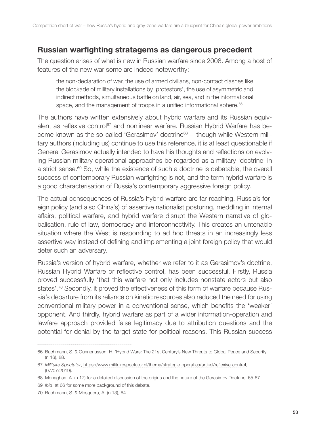## Russian warfighting stratagems as dangerous precedent

The question arises of what is new in Russian warfare since 2008. Among a host of features of the new war some are indeed noteworthy:

the non-declaration of war, the use of armed civilians, non-contact clashes like the blockade of military installations by 'protestors', the use of asymmetric and indirect methods, simultaneous battle on land, air, sea, and in the informational space, and the management of troops in a unified informational sphere.<sup>66</sup>

The authors have written extensively about hybrid warfare and its Russian equivalent as reflexive control<sup>67</sup> and nonlinear warfare. Russian Hybrid Warfare has become known as the so-called 'Gerasimov' doctrine<sup>68</sup> — though while Western military authors (including us) continue to use this reference, it is at least questionable if General Gerasimov actually intended to have his thoughts and reflections on evolving Russian military operational approaches be regarded as a military 'doctrine' in a strict sense.<sup>69</sup> So, while the existence of such a doctrine is debatable, the overall success of contemporary Russian warfighting is not, and the term hybrid warfare is a good characterisation of Russia's contemporary aggressive foreign policy.

The actual consequences of Russia's hybrid warfare are far-reaching. Russia's foreign policy (and also China's) of assertive nationalist posturing, meddling in internal affairs, political warfare, and hybrid warfare disrupt the Western narrative of globalisation, rule of law, democracy and interconnectivity. This creates an untenable situation where the West is responding to ad hoc threats in an increasingly less assertive way instead of defining and implementing a joint foreign policy that would deter such an adversary.

Russia's version of hybrid warfare, whether we refer to it as Gerasimov's doctrine, Russian Hybrid Warfare or reflective control, has been successful. Firstly, Russia proved successfully 'that this warfare not only includes nonstate actors but also states'.70 Secondly, it proved the effectiveness of this form of warfare because Russia's departure from its reliance on kinetic resources also reduced the need for using conventional military power in a conventional sense, which benefits the 'weaker' opponent. And thirdly, hybrid warfare as part of a wider information-operation and lawfare approach provided false legitimacy due to attribution questions and the potential for denial by the target state for political reasons. This Russian success

<sup>66</sup> Bachmann, S. & Gunneriusson, H. 'Hybrid Wars: The 21st Century's New Threats to Global Peace and Security' (n 16), 88.

<sup>67</sup> *Militaire Spectator*, https://www.militairespectator.nl/thema/strategie-operaties/artikel/reflexive-control, (07/07/2019).

<sup>68</sup> Monaghan, A. (n 17) for a detailed discussion of the origins and the nature of the Gerasimov Doctrine, 65-67.

<sup>69</sup> *Ibid*, at 66 for some more background of this debate.

<sup>70</sup> Bachmann, S. & Mosquera, A. (n 13), 64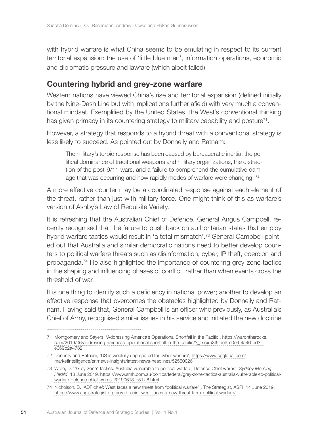with hybrid warfare is what China seems to be emulating in respect to its current territorial expansion: the use of 'little blue men', information operations, economic and diplomatic pressure and lawfare (which albeit failed).

#### Countering hybrid and grey-zone warfare

Western nations have viewed China's rise and territorial expansion (defined initially by the Nine-Dash Line but with implications further afield) with very much a conventional mindset. Exemplified by the United States, the West's conventional thinking has given primacy in its countering strategy to military capability and posture<sup>71</sup>.

However, a strategy that responds to a hybrid threat with a conventional strategy is less likely to succeed. As pointed out by Donnelly and Ratnam:

The military's torpid response has been caused by bureaucratic inertia, the political dominance of traditional weapons and military organizations, the distraction of the post-9/11 wars, and a failure to comprehend the cumulative damage that was occurring and how rapidly modes of warfare were changing. <sup>72</sup>

A more effective counter may be a coordinated response against each element of the threat, rather than just with military force. One might think of this as warfare's version of Ashby's Law of Requisite Variety.

It is refreshing that the Australian Chief of Defence, General Angus Campbell, recently recognised that the failure to push back on authoritarian states that employ hybrid warfare tactics would result in 'a total mismatch'.<sup>73</sup> General Campbell pointed out that Australia and similar democratic nations need to better develop counters to political warfare threats such as disinformation, cyber, IP theft, coercion and propaganda.74 He also highlighted the importance of countering grey-zone tactics in the shaping and influencing phases of conflict, rather than when events cross the threshold of war.

It is one thing to identify such a deficiency in national power; another to develop an effective response that overcomes the obstacles highlighted by Donnelly and Ratnam. Having said that, General Campbell is an officer who previously, as Australia's Chief of Army, recognised similar issues in his service and initiated the new doctrine

<sup>71</sup> Montgomery and Sayers, 'Addressing America's Operational Shortfall in the Pacific', https://warontherocks. com/2019/06/addressing-americas-operational-shortfall-in-the-pacific/? Irsc=b3f6fde9-c0e6-4a46-bd3fe069b2a47321

<sup>72</sup> Donnelly and Ratnam, 'US is woefully unprepared for cyber-warfare', https://www.spglobal.com/ marketintelligence/en/news-insights/latest-news-headlines/52560026

<sup>73</sup> Wroe, D. '"Grey-zone" tactics: Australia vulnerable to political warfare, Defence Chief warns', *Sydney Morning Herald*, 13 June 2019, https://www.smh.com.au/politics/federal/grey-zone-tactics-australia-vulnerable-to-politicalwarfare-defence-chief-warns-20190613-p51xj6.html

<sup>74</sup> Nicholson, B. 'ADF chief: West faces a new threat from "political warfare"', The Strategist, ASPI, 14 June 2019, https://www.aspistrategist.org.au/adf-chief-west-faces-a-new-threat-from-political-warfare/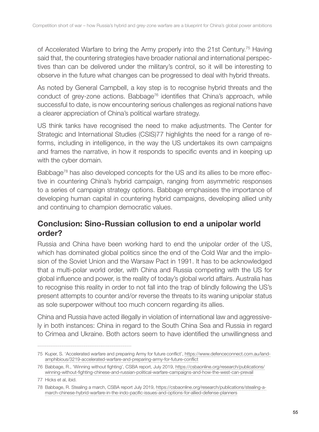of Accelerated Warfare to bring the Army properly into the 21st Century.75 Having said that, the countering strategies have broader national and international perspectives than can be delivered under the military's control, so it will be interesting to observe in the future what changes can be progressed to deal with hybrid threats.

As noted by General Campbell, a key step is to recognise hybrid threats and the conduct of grey-zone actions. Babbage<sup>76</sup> identifies that China's approach, while successful to date, is now encountering serious challenges as regional nations have a clearer appreciation of China's political warfare strategy.

US think tanks have recognised the need to make adjustments. The Center for Strategic and International Studies (CSIS)77 highlights the need for a range of reforms, including in intelligence, in the way the US undertakes its own campaigns and frames the narrative, in how it responds to specific events and in keeping up with the cyber domain.

Babbage<sup>78</sup> has also developed concepts for the US and its allies to be more effective in countering China's hybrid campaign, ranging from asymmetric responses to a series of campaign strategy options. Babbage emphasises the importance of developing human capital in countering hybrid campaigns, developing allied unity and continuing to champion democratic values.

## Conclusion: Sino-Russian collusion to end a unipolar world order?

Russia and China have been working hard to end the unipolar order of the US, which has dominated global politics since the end of the Cold War and the implosion of the Soviet Union and the Warsaw Pact in 1991. It has to be acknowledged that a multi-polar world order, with China and Russia competing with the US for global influence and power, is the reality of today's global world affairs. Australia has to recognise this reality in order to not fall into the trap of blindly following the US's present attempts to counter and/or reverse the threats to its waning unipolar status as sole superpower without too much concern regarding its allies.

China and Russia have acted illegally in violation of international law and aggressively in both instances: China in regard to the South China Sea and Russia in regard to Crimea and Ukraine. Both actors seem to have identified the unwillingness and

<sup>75</sup> Kuper, S. 'Accelerated warfare and preparing Army for future conflict', https://www.defenceconnect.com.au/landamphibious/3219-accelerated-warfare-and-preparing-army-for-future-conflict

<sup>76</sup> Babbage, R., 'Winning without fighting', CSBA report, July 2019, https://csbaonline.org/research/publications/ winning-without-fighting-chinese-and-russian-political-warfare-campaigns-and-how-the-west-can-prevail

<sup>77</sup> Hicks et al, ibid.

<sup>78</sup> Babbage, R. Stealing a march, CSBA report July 2019, https://csbaonline.org/research/publications/stealing-amarch-chinese-hybrid-warfare-in-the-indo-pacific-issues-and-options-for-allied-defense-planners